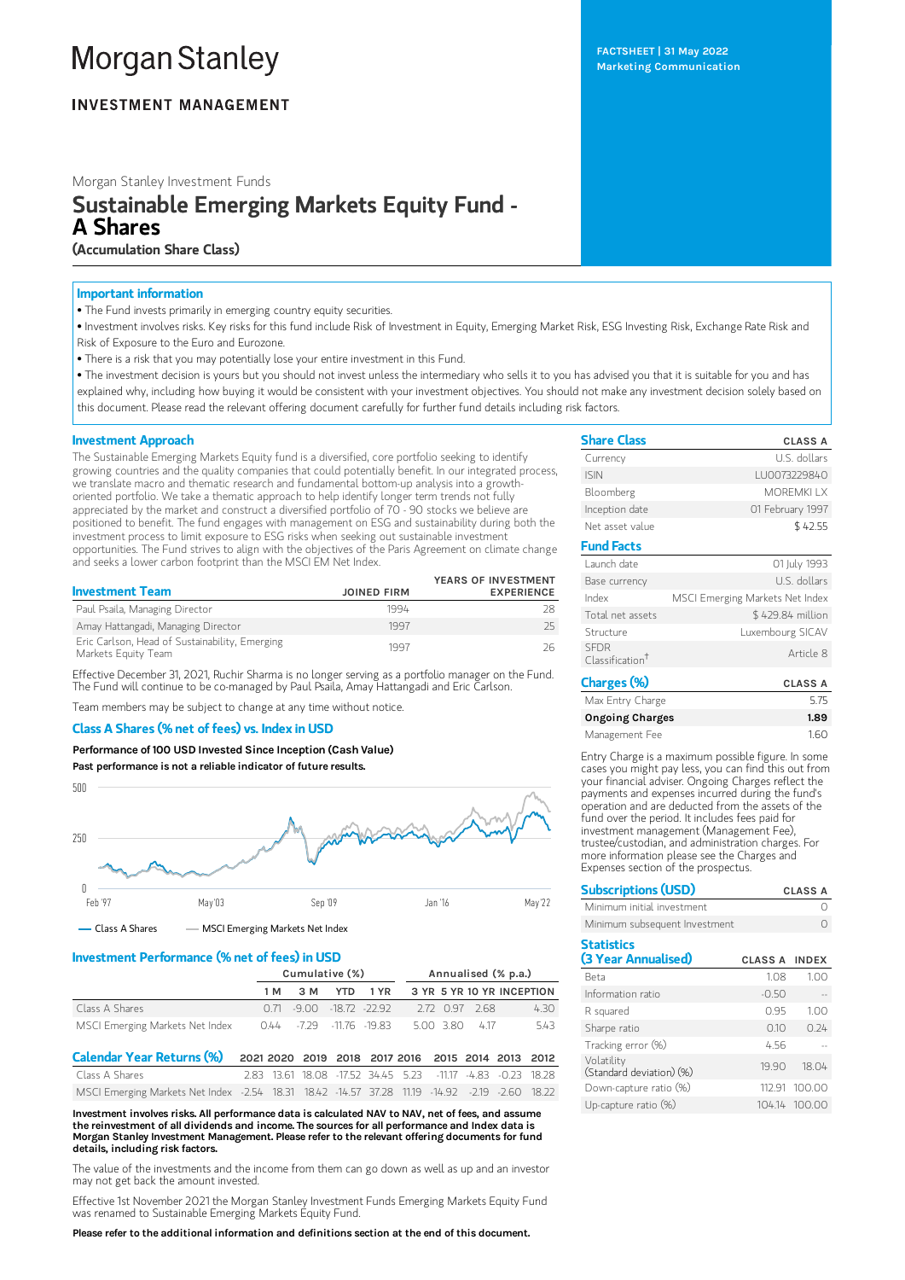# **Morgan Stanley**

### **INVESTMENT MANAGEMENT**

Morgan Stanley Investment Funds

## Sustainable Emerging Markets Equity Fund - A Shares

(Accumulation Share Class)

#### Important information

• The Fund invests primarily in emerging country equity securities.

- Investment involves risks. Key risks for this fund include Risk of Investment in Equity, Emerging Market Risk, ESG Investing Risk, Exchange Rate Risk and Risk of Exposure to the Euro and Eurozone.
- There is a risk that you may potentially lose your entire investment in this Fund.

• The investment decision is yours but you should not invest unless the intermediary who sells it to you has advised you that it is suitable for you and has explained why, including how buying it would be consistent with your investment objectives. You should not make any investment decision solely based on this document. Please read the relevant offering document carefully for further fund details including risk factors.

#### Investment Approach

The Sustainable Emerging Markets Equity fund is a diversified, core portfolio seeking to identify growing countries and the quality companies that could potentially benefit. In our integrated process, we translate macro and thematic research and fundamental bottom-up analysis into a growthoriented portfolio. We take a thematic approach to help identify longer term trends not fully appreciated by the market and construct a diversified portfolio of  $70 - 90$  stocks we believe are positioned to benefit. The fund engages with management on ESG and sustainability during both the investment process to limit exposure to ESG risks when seeking out sustainable investment opportunities. The Fund strives to align with the objectives of the Paris Agreement on climate change and seeks a lower carbon footprint than the MSCI EM Net Index.

|                                                                       |                    | YEARS OF INVESTMENT |
|-----------------------------------------------------------------------|--------------------|---------------------|
| <b>Investment Team</b>                                                | <b>JOINED FIRM</b> | <b>EXPERIENCE</b>   |
| Paul Psaila, Managing Director                                        | 1994               |                     |
| Amay Hattangadi, Managing Director                                    | 1997               | 25.                 |
| Eric Carlson, Head of Sustainability, Emerging<br>Markets Equity Team | 1997               |                     |

Effective December 31, 2021, Ruchir Sharma is no longer serving as a portfolio manager on the Fund. The Fund will continue to be co-managed by Paul Psaila, Amay Hattangadi and Eric Carlson.

Team members may be subject to change at any time without notice.

#### Class A Shares (% net of fees) vs. Index in USD

Performance of 100 USD Invested Since Inception (Cash Value) Past performance is not a reliable indicator of future results.



#### Investment Performance (% net of fees) in USD

|                                 | Cumulative (%) |  |  | Annualised (% p.a.)           |  |  |                |                                        |
|---------------------------------|----------------|--|--|-------------------------------|--|--|----------------|----------------------------------------|
|                                 | 1 M            |  |  |                               |  |  |                | 3 M YTD 1 YR 3 YR 5 YR 10 YR INCEPTION |
| Class A Shares                  |                |  |  | $0.71 - 9.00 - 18.72 - 22.92$ |  |  | 2.72 0.97 2.68 | 4.30                                   |
| MSCI Emerging Markets Net Index |                |  |  | 0.44 -7.29 -11.76 -19.83      |  |  | 5.00 3.80 4.17 | 543                                    |

| Calendar Year Returns (%) 2021 2020 2019 2018 2017 2016 2015 2014 2013 2012                   |  |  |  |                                                             |  |  |
|-----------------------------------------------------------------------------------------------|--|--|--|-------------------------------------------------------------|--|--|
| Class A Shares                                                                                |  |  |  | 2.83 13.61 18.08 -17.52 34.45 5.23 -11.17 -4.83 -0.23 18.28 |  |  |
| MSCI Emerging Markets Net Index -2.54 18.31 18.42 -14.57 37.28 11.19 -14.92 -2.19 -2.60 18.22 |  |  |  |                                                             |  |  |

Investment involves risks. All performance data is calculated NAV to NAV, net of fees, and assume the reinvestment of all dividends and income. The sources for all performance and Index data is Morgan Stanley Investment Management. Please refer to the relevant offering documents for fund details, including risk factors.

The value of the investments and the income from them can go down as well as up and an investor may not get back the amount invested.

Effective 1st November 2021 the Morgan Stanley Investment Funds Emerging Markets Equity Fund was renamed to Sustainable Emerging Markets Equity Fund.

Please refer to the additional information and definitions section at the end of this document.

| <b>Share Class</b> | <b>CLASS A</b>   |
|--------------------|------------------|
| Currency           | U.S. dollars     |
| <b>ISIN</b>        | LU0073229840     |
| Bloomberg          | <b>MOREMKIIX</b> |
| Inception date     | 01 February 1997 |
| Net asset value    | \$42.55          |

| <b>Fund Facts</b>                          |                                 |
|--------------------------------------------|---------------------------------|
| Launch date                                | 01 July 1993                    |
| Base currency                              | U.S. dollars                    |
| Index                                      | MSCI Emerging Markets Net Index |
| Total net assets                           | \$429.84 million                |
| Structure                                  | Luxembourg SICAV                |
| <b>SEDR</b><br>Classification <sup>†</sup> | Article 8                       |
|                                            |                                 |

| Charges (%)            | <b>CLASS A</b> |
|------------------------|----------------|
| Max Entry Charge       | 5.75           |
| <b>Ongoing Charges</b> | 1.89           |
| Management Fee         | 160            |

Entry Charge is a maximum possible figure. In some cases you might pay less, you can find this out from your financial adviser. Ongoing Charges reflect the payments and expenses incurred during the fund's operation and are deducted from the assets of the fund over the period. It includes fees paid for investment management (Management Fee), trustee/custodian, and administration charges. For more information please see the Charges and Expenses section of the prospectus.

| <b>Subscriptions (USD)</b>               |                      | <b>CLASS A</b> |
|------------------------------------------|----------------------|----------------|
| Minimum initial investment               |                      |                |
| Minimum subsequent Investment            |                      |                |
| <b>Statistics</b><br>(3 Year Annualised) | <b>CLASS A INDEX</b> |                |
| Beta                                     | 1.08                 | 1.00           |
| Information ratio                        | $-0.50$              |                |
| R squared                                | 0.95                 | 1.00           |
| Sharpe ratio                             | 0.10                 | 0.24           |
| Tracking error (%)                       | 4.56                 |                |
| Volatility<br>(Standard deviation) (%)   | 19.90                | 18.04          |
| Down-capture ratio (%)                   | 112.91               | 100.00         |
| Up-capture ratio (%)                     |                      | 104.14 100.00  |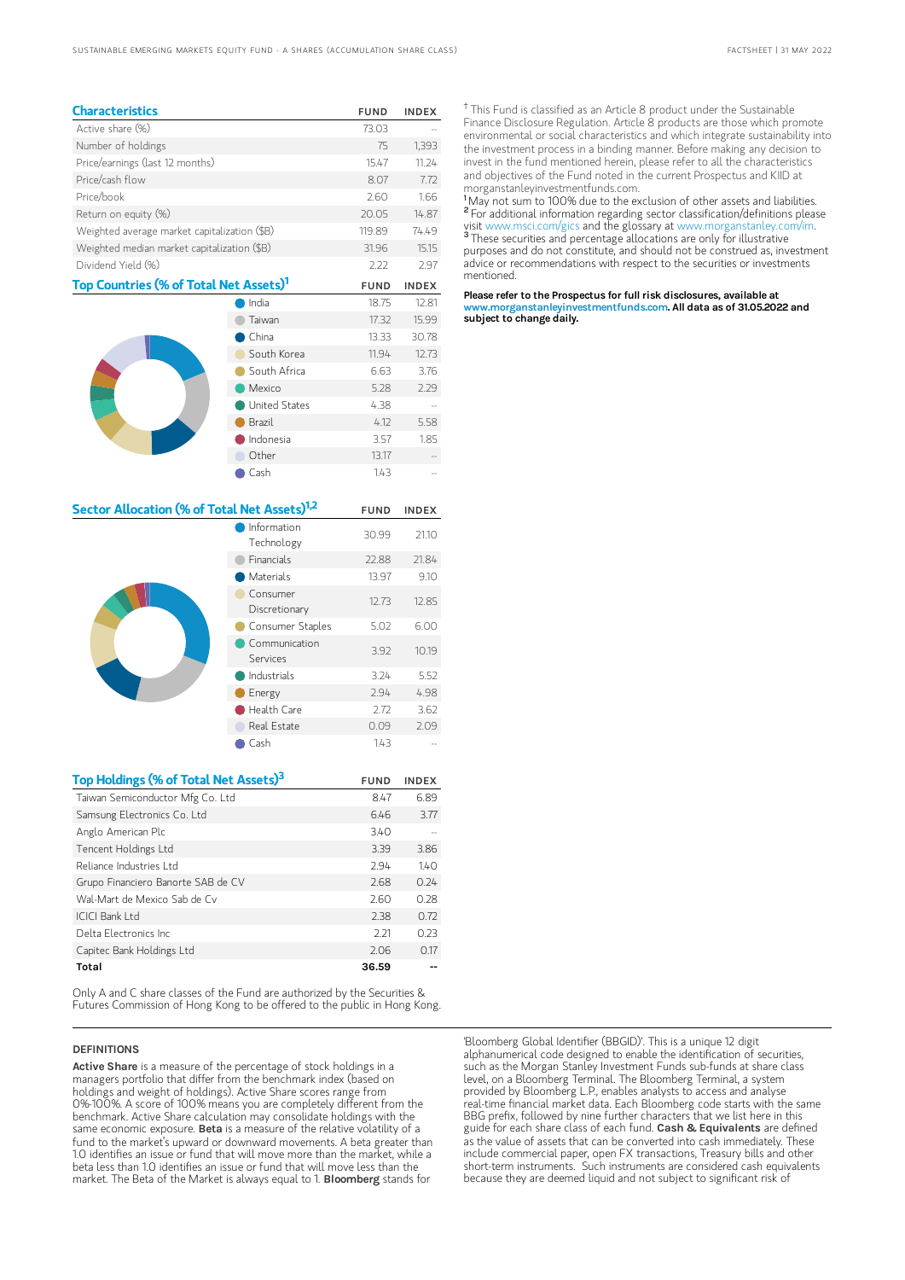| <b>Characteristics</b>                             |        | <b>FUND</b> | <b>INDEX</b> |
|----------------------------------------------------|--------|-------------|--------------|
| Active share (%)                                   |        | 73.03       |              |
| Number of holdings                                 |        | 75          | 1,393        |
| Price/earnings (last 12 months)                    |        | 15.47       | 11.24        |
| Price/cash flow                                    |        | 8.07        | 7.72         |
| Price/book                                         |        | 2.60        | 1.66         |
| Return on equity (%)                               |        | 20.05       | 14.87        |
| Weighted average market capitalization (\$B)       |        | 119.89      | 74.49        |
| Weighted median market capitalization (\$B)        |        | 31.96       | 15.15        |
| Dividend Yield (%)                                 |        | 2.22        | 2.97         |
| Top Countries (% of Total Net Assets) <sup>1</sup> |        | <b>FUND</b> | <b>INDEX</b> |
|                                                    | India  | 18.75       | 12.81        |
|                                                    | Taiwan | 17.32       | 15.99        |
|                                                    | China  | 13.33       | 30.78        |
|                                                    |        |             |              |

|  | South Korea   | 11.94 | 12.73 |
|--|---------------|-------|-------|
|  | South Africa  | 6.63  | 3.76  |
|  | Mexico        | 5.28  | 2.29  |
|  | United States | 4.38  |       |
|  | Brazil        | 4.12  | 5.58  |
|  | Indonesia     | 3.57  | 1.85  |
|  | Other         | 13.17 |       |
|  | Cash          | 1.43  |       |

| Sector Allocation (% of Total Net Assets) <sup>1,2</sup> |                           | <b>FUND</b> | <b>INDEX</b> |
|----------------------------------------------------------|---------------------------|-------------|--------------|
|                                                          | Information<br>Technology | 30.99       | 21.10        |
|                                                          | <b>Financials</b>         | 22.88       | 21.84        |
|                                                          | <b>Materials</b>          | 13.97       | 9.10         |
|                                                          | Consumer<br>Discretionary | 12.73       | 12.85        |
|                                                          | Consumer Staples          | 5.02        | 6.00         |
|                                                          | Communication<br>Services | 3.92        | 10.19        |
|                                                          | Industrials               | 3.24        | 5.52         |
|                                                          | Energy                    | 2.94        | 4.98         |
|                                                          | Health Care               | 2.72        | 3.62         |
|                                                          | Real Estate               | 0.09        | 2.09         |
|                                                          | Cash                      | 143         |              |

| Top Holdings (% of Total Net Assets) <sup>3</sup> | <b>FUND</b> | <b>INDEX</b> |
|---------------------------------------------------|-------------|--------------|
| Taiwan Semiconductor Mfg Co. Ltd                  | 8.47        | 6.89         |
| Samsung Electronics Co. Ltd                       | 6.46        | 3.77         |
| Anglo American Plc                                | 3.40        |              |
| Tencent Holdings Ltd                              | 3.39        | 3.86         |
| Reliance Industries Ltd                           | 2.94        | 140          |
| Grupo Financiero Banorte SAB de CV                | 2.68        | 0.24         |
| Wal-Mart de Mexico Sab de Cv                      | 2.60        | 0.28         |
| ICICI Bank I td                                   | 2.38        | 0.72         |
| Delta Electronics Inc.                            | 2.21        | 0.23         |
| Capitec Bank Holdings Ltd                         | 2.06        | 0.17         |
| Total                                             | 36.59       |              |

Only A and C share classes of the Fund are authorized by the Securities & Futures Commission of Hong Kong to be offered to the public in Hong Kong.

#### DEFINITIONS

Active Share is a measure of the percentage of stock holdings in a managers portfolio that differ from the benchmark index (based on holdings and weight of holdings). Active Share scores range from 0%-100%. A score of 100% means you are completely different from the benchmark. Active Share calculation may consolidate holdings with the same economic exposure. Beta is a measure of the relative volatility of a fund to the market's upward or downward movements. A beta greater than 1.0 identifies an issue or fund that will move more than the market, while a beta less than 1.0 identifies an issue or fund that will move less than the market. The Beta of the Market is always equal to 1. **Bloomberg** stands for

<sup>†</sup> This Fund is classified as an Article 8 product under the Sustainable Finance Disclosure Regulation. Article 8 products are those which promote environmental or social characteristics and which integrate sustainability into the investment process in a binding manner. Before making any decision to invest in the fund mentioned herein, please refer to all the characteristics and objectives of the Fund noted in the current Prospectus and KIID at morganstanleyinvestmentfunds.com.

<sup>1</sup>May not sum to 100% due to the exclusion of other assets and liabilities. <sup>2</sup> For additional information regarding sector classification/definitions please visit www.msci.com/gics and the glossary at www.morganstanley.com/im. <sup>3</sup> These securities and percentage allocations are only for illustrative purposes and do not constitute, and should not be construed as, investment advice or recommendations with respect to the securities or investments mentioned.

Please refer to the Prospectus for full risk disclosures, available at www.morganstanleyinvestmentfunds.com. All data as of 31.05.2022 and subject to change daily.

'Bloomberg Global Identifier (BBGID)'. This is a unique 12 digit alphanumerical code designed to enable the identification of securities, such as the Morgan Stanley Investment Funds sub-funds at share class level, on a Bloomberg Terminal. The Bloomberg Terminal, a system provided by Bloomberg L.P., enables analysts to access and analyse real-time financial market data. Each Bloomberg code starts with the same BBG prefix, followed by nine further characters that we list here in this<br>guide for each share class of each fund. **Cash & Equivalents** are defined as the value of assets that can be converted into cash immediately. These include commercial paper, open FX transactions, Treasury bills and other short-term instruments. Such instruments are considered cash equivalents because they are deemed liquid and not subject to significant risk of